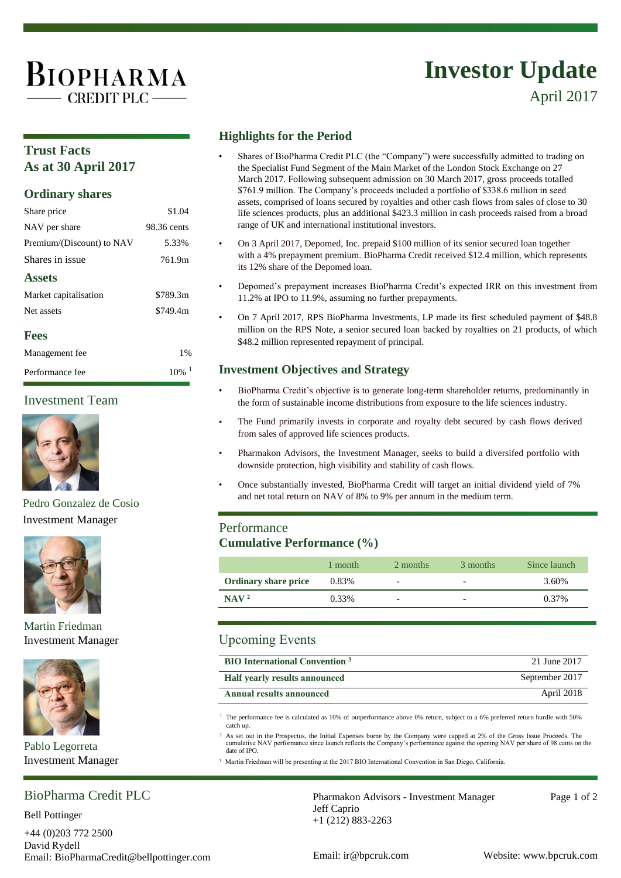# BIOPHARMA  $-CREDIT$  PLC  $-$

# **Investor Update**

April 2017

### **Trust Facts As at 30 April 2017**

#### **Ordinary shares**

| Share price               | \$1.04      |
|---------------------------|-------------|
| NAV per share             | 98.36 cents |
| Premium/(Discount) to NAV | 5.33%       |
| Shares in issue           | 761.9m      |
| <b>Assets</b>             |             |
| Market capitalisation     | \$789.3m    |
| Net assets                | \$749.4m    |
| <b>Fees</b>               |             |
| Management fee            | 1%          |
| Performance fee           | 10%         |

#### Investment Team



Pedro Gonzalez de Cosio Investment Manager



#### Martin Friedman Investment Manager



Pablo Legorreta Investment Manager

## BioPharma Credit PLC

Bell Pottinger

+44 (0)203 772 2500 David Rydell Email: BioPharmaCredit@bellpottinger.com Email: ir@bpcruk.com Website: www.bpcruk.com

#### **Highlights for the Period**

- Shares of BioPharma Credit PLC (the "Company") were successfully admitted to trading on the Specialist Fund Segment of the Main Market of the London Stock Exchange on 27 March 2017. Following subsequent admission on 30 March 2017, gross proceeds totalled \$761.9 million. The Company's proceeds included a portfolio of \$338.6 million in seed assets, comprised of loans secured by royalties and other cash flows from sales of close to 30 life sciences products, plus an additional \$423.3 million in cash proceeds raised from a broad range of UK and international institutional investors.
- On 3 April 2017, Depomed, Inc. prepaid \$100 million of its senior secured loan together with a 4% prepayment premium. BioPharma Credit received \$12.4 million, which represents its 12% share of the Depomed loan.
- Depomed's prepayment increases BioPharma Credit's expected IRR on this investment from 11.2% at IPO to 11.9%, assuming no further prepayments.
- On 7 April 2017, RPS BioPharma Investments, LP made its first scheduled payment of \$48.8 million on the RPS Note, a senior secured loan backed by royalties on 21 products, of which \$48.2 million represented repayment of principal.

#### **Investment Objectives and Strategy**

- BioPharma Credit's objective is to generate long-term shareholder returns, predominantly in the form of sustainable income distributions from exposure to the life sciences industry.
- The Fund primarily invests in corporate and royalty debt secured by cash flows derived from sales of approved life sciences products.
- Pharmakon Advisors, the Investment Manager, seeks to build a diversifed portfolio with downside protection, high visibility and stability of cash flows.
- Once substantially invested, BioPharma Credit will target an initial dividend yield of 7% and net total return on NAV of 8% to 9% per annum in the medium term.

#### Performance **Cumulative Performance (%)**

|                             | 1 month | 2 months                 | 3 months | Since launch |
|-----------------------------|---------|--------------------------|----------|--------------|
| <b>Ordinary share price</b> | 0.83%   | $\overline{\phantom{0}}$ | -        | 3.60%        |
| NAV <sup>2</sup>            | 0.33%   | $\overline{\phantom{0}}$ | -        | 0.37%        |

#### Upcoming Events

| <b>BIO</b> International Convention <sup>3</sup> | 21 June 2017   |
|--------------------------------------------------|----------------|
| <b>Half yearly results announced</b>             | September 2017 |
| <b>Annual results announced</b>                  | April 2018     |

<sup>1</sup> The performance fee is calculated as 10% of outperformance above 0% return, subject to a 6% preferred return hurdle with 50% catch up.

As set out in the Prospectus, the Initial Expenses borne by the Company were capped at 2% of the Gross Issue Proceeds. The<br>cumulative NAV performance since launch reflects the Company's performance against the opening NAV date of IPO.

<sup>3</sup> Martin Friedman will be presenting at the 2017 BIO International Convention in San Diego, California.

Pharmakon Advisors - Investment Manager Page 1 of 2 Jeff Caprio +1 (212) 883-2263